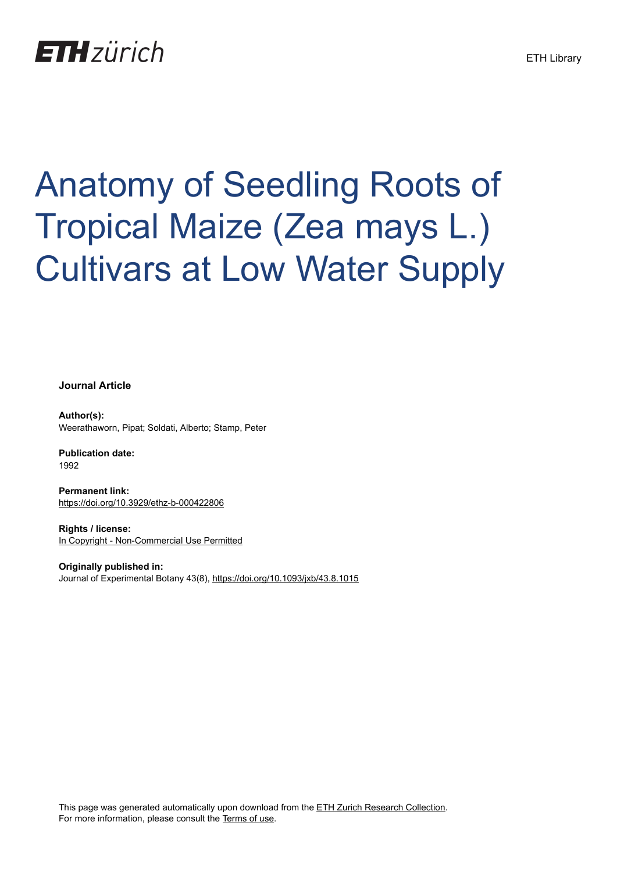## **ETH**zürich

# Anatomy of Seedling Roots of Tropical Maize (Zea mays L.) Cultivars at Low Water Supply

**Journal Article**

**Author(s):** Weerathaworn, Pipat; Soldati, Alberto; Stamp, Peter

**Publication date:** 1992

**Permanent link:** <https://doi.org/10.3929/ethz-b-000422806>

**Rights / license:** [In Copyright - Non-Commercial Use Permitted](http://rightsstatements.org/page/InC-NC/1.0/)

**Originally published in:** Journal of Experimental Botany 43(8),<https://doi.org/10.1093/jxb/43.8.1015>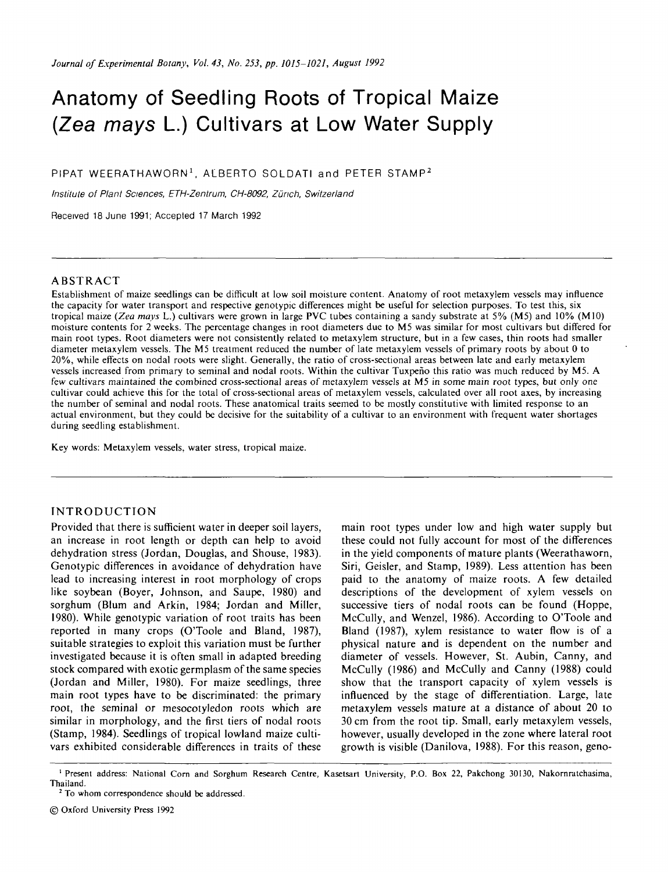### Anatomy of Seedling Roots of Tropical Maize (Zea mays L.) Cultivars at Low Water Supply

PIPAT WEERATHAWORN<sup>1</sup>, ALBERTO SOLDATI and PETER STAMP<sup>2</sup>

Institute of Plant Sciences, ETH-Zentrum, CH-8092, Zürich, Switzerland

Received 18 June 1991; Accepted 17 March 1992

#### ABSTRACT

Establishment of maize seedlings can be difficult at low soil moisture content. Anatomy of root metaxylem vessels may influence the capacity for water transport and respective genotypic differences might be useful for selection purposes. To test this, six tropical maize *(Zea mays* L.) cultivars were grown in large PVC tubes containing a sandy substrate at 5% (M5) and 10% (M10) moisture contents for 2 weeks. The percentage changes in root diameters due to M5 was similar for most cultivars but differed for main root types. Root diameters were not consistently related to metaxylem structure, but in a few cases, thin roots had smaller diameter metaxylem vessels. The M5 treatment reduced the number of late metaxylem vessels of primary roots by about 0 to 20%, while effects on nodal roots were slight. Generally, the ratio of cross-sectional areas between late and early metaxylem vessels increased from primary to seminal and nodal roots. Within the cultivar Tuxpefio this ratio was much reduced by M5. A few cultivars maintained the combined cross-sectional areas of metaxylem vessels at M5 in some main root types, but only one cultivar could achieve this for the total of cross-sectional areas of metaxylem vessels, calculated over all root axes, by increasing the number of seminal and nodal roots. These anatomical traits seemed to be mostly constitutive with limited response to an actual environment, but they could be decisive for the suitability of a cultivar to an environment with frequent water shortages during seedling establishment.

Key words: Metaxylem vessels, water stress, tropical maize.

#### INTRODUCTION

Provided that there is sufficient water in deeper soil layers, an increase in root length or depth can help to avoid dehydration stress (Jordan, Douglas, and Shouse, 1983). Genotypic differences in avoidance of dehydration have lead to increasing interest in root morphology of crops like soybean (Boyer, Johnson, and Saupe, 1980) and sorghum (Blum and Arkin, 1984; Jordan and Miller, 1980). While genotypic variation of root traits has been reported in many crops (O'Toole and Bland, 1987), suitable strategies to exploit this variation must be further investigated because it is often small in adapted breeding stock compared with exotic germplasm of the same species (Jordan and Miller, 1980). For maize seedlings, three main root types have to be discriminated: the primary root, the seminal or mesocotyledon roots which are similar in morphology, and the first tiers of nodal roots (Stamp, 1984). Seedlings of tropical lowland maize cultivars exhibited considerable differences in traits of these

main root types under low and high water supply but these could not fully account for most of the differences in the yield components of mature plants (Weerathaworn, Siri, Geisler, and Stamp, 1989). Less attention has been paid to the anatomy of maize roots. A few detailed descriptions of the development of xylem vessels on successive tiers of nodal roots can be found (Hoppe, McCully, and Wenzel, 1986). According to O'Toole and Bland (1987), xylem resistance to water flow is of a physical nature and is dependent on the number and diameter of vessels. However, St. Aubin, Canny, and McCully (1986) and McCully and Canny (1988) could show that the transport capacity of xylem vessels is influenced by the stage of differentiation. Large, late metaxylem vessels mature at a distance of about 20 to 30 cm from the root tip. Small, early metaxylem vessels, however, usually developed in the zone where lateral root growth is visible (Danilova, 1988). For this reason, geno-

<sup>1</sup> Present address: National Corn and Sorghum Research Centre, Kasetsart University, P.O. Box 22, Pakchong 30130, Nakornratchasima, Thailand.

<sup>&</sup>lt;sup>2</sup> To whom correspondence should be addressed.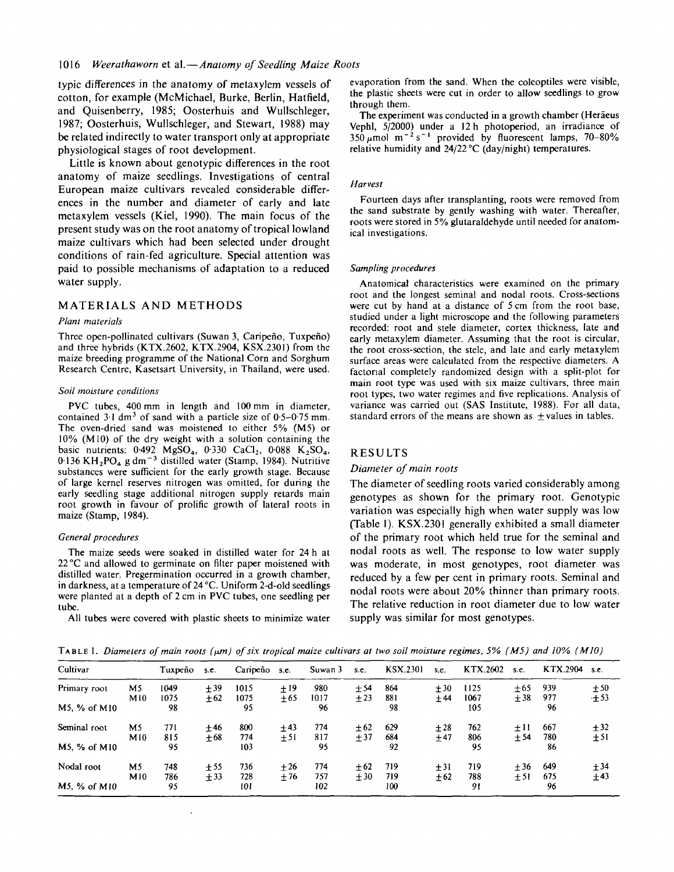typic differences in the anatomy of metaxylem vessels of cotton, for example (McMichael, Burke, Berlin, Hatfield, and Quisenberry, 1985; Oosterhuis and Wullschleger, 1987; Oosterhuis, Wullschleger, and Stewart, 1988) may be related indirectly to water transport only at appropriate physiological stages of root development.

Little is known about genotypic differences in the root anatomy of maize seedlings. Investigations of central European maize cultivars revealed considerable differences in the number and diameter of early and late metaxylem vessels (Kiel, 1990). The main focus of the present study was on the root anatomy of tropical lowland maize cultivars which had been selected under drought conditions of rain-fed agriculture. Special attention was paid to possible mechanisms of adaptation to a reduced water supply.

#### MATERIALS AND METHODS

#### *Plant materials*

Three open-pollinated cultivars (Suwan 3, Caripeño, Tuxpeño) and three hybrids (KTX.2602, KTX.2904, KSX.2301) from the maize breeding programme of the National Corn and Sorghum Research Centre, Kasetsart University, in Thailand, were used.

#### $S$ oil moisture conditions

PVC tubes, 400 mm in length and 100 mm in diameter, contained  $3.1 \text{ dm}^3$  of sand with a particle size of 0.5-0.75 mm. The oven-dried sand was moistened to either 5% (M5) or 10% (M10) of the dry weight with a solution containing the basic nutrients:  $0.492$  MgSO<sub>4</sub>,  $0.330$  CaCl<sub>2</sub>,  $0.088$  K<sub>2</sub>SO<sub>4</sub>,  $0.136 \text{ KH}_{2} \text{PO}_{4}$  g dm<sup>-3</sup> distilled water (Stamp, 1984). Nutritive substances were sufficient for the early growth stage. Because of large kernel reserves nitrogen was omitted, for during the early seedling stage additional nitrogen supply retards main root growth in favour of prolific growth of lateral roots in maize (Stamp, 1984).

#### *General procedures*

The maize seeds were soaked in distilled water for 24 h at 22 °C and allowed to germinate on filter paper moistened with distilled water. Pregermination occurred in a growth chamber, in darkness, at a temperature of 24 °C. Uniform 2-d-old seedlings were planted at a depth of 2 cm in PVC tubes, one seedling per tube.

All tubes were covered with plastic sheets to minimize water

evaporation from the sand. When the coleoptiles were visible, the plastic sheets were cut in order to allow seedlings to grow through them.

The experiment was conducted in a growth chamber (Heraeus Vephl, 5/2000) under a 12 h photoperiod, an irradiance of  $350 \mu$ mol m<sup>-2</sup> s<sup>-1</sup> provided by fluorescent lamps, 70–80% relative humidity and 24/22 °C (day/night) temperatures.

#### *Harvest*

Fourteen days after transplanting, roots were removed from the sand substrate by gently washing with water. Thereafter, roots were stored in 5% glutaraldehyde until needed for anatomical investigations.

#### *Sampling procedures*

Anatomical characteristics were examined on the primary root and the longest seminal and nodal roots. Cross-sections were cut by hand at a distance of 5 cm from the root base, studied under a light microscope and the following parameters recorded: root and stele diameter, cortex thickness, late and early metaxylem diameter. Assuming that the root is circular, the root cross-section, the stele, and late and early metaxylem surface areas were calculated from the respective diameters. A factorial completely randomized design with a split-plot for main root type was used with six maize cultivars, three main root types, two water regimes and five replications. Analysis of variance was carried out (SAS Institute, 1988). For all data, standard errors of the means are shown as  $\pm$  values in tables.

#### RESULTS

#### *Diameter of main roots*

The diameter of seedling roots varied considerably among genotypes as shown for the primary root. Genotypic variation was especially high when water supply was low (Table 1). KSX.2301 generally exhibited a small diameter of the primary root which held true for the seminal and nodal roots as well. The response to low water supply was moderate, in most genotypes, root diameter was reduced by a few per cent in primary roots. Seminal and nodal roots were about 20% thinner than primary roots. The relative reduction in root diameter due to low water supply was similar for most genotypes.

TABLE 1. *Diameters of main roots (\im) of six tropical maize cultivars at two soil moisture regimes, 5% (M5) and 10% (M10)*

| Cultivar     |     | Tuxpeño | S.C.  | Caripeño s.e. |       | Suwan 3 | s.e.  | <b>KSX.2301</b> | s.e.  | KTX.2602 | s.e.  | KTX.2904 | s.e.  |
|--------------|-----|---------|-------|---------------|-------|---------|-------|-----------------|-------|----------|-------|----------|-------|
| Primary root | M5  | 1049    | ±39   | 1015          | + 19  | 980     | $+54$ | 864             | $+30$ | 1125     | $+65$ | 939      | ±50   |
|              | M10 | 1075    | $+62$ | 1075          | $+65$ | 1017    | $+23$ | 881             | $+44$ | 1067     | ± 38  | 977      | $+53$ |
| M5, % of M10 |     | 98      |       | 95            |       | 96      |       | 98              |       | 105      |       | 96       |       |
| Seminal root | M5  | 771     | $+46$ | 800           | $+43$ | 774     | $+62$ | 629             | $+28$ | 762      | $+11$ | 667      | $+32$ |
|              | M10 | 815     | $+68$ | 774           | $+51$ | 817     | $+37$ | 684             | $+47$ | 806      | ± 54  | 780      | ±51   |
| M5, % of M10 |     | 95      |       | 103           |       | 95      |       | 92              |       | 95       |       | 86       |       |
| Nodal root   | M5  | 748     | ±55   | 736           | $+26$ | 774     | $+62$ | 719             | ±31   | 719      | $+36$ | 649      | ± 34  |
|              | M10 | 786     | $+33$ | 728           | $+76$ | 757     | $+30$ | 719             | $+62$ | 788      | $+51$ | 675      | ±43   |
| M5, % of M10 |     | 95      |       | 101           |       | 102     |       | 100             |       | 91       |       | 96       |       |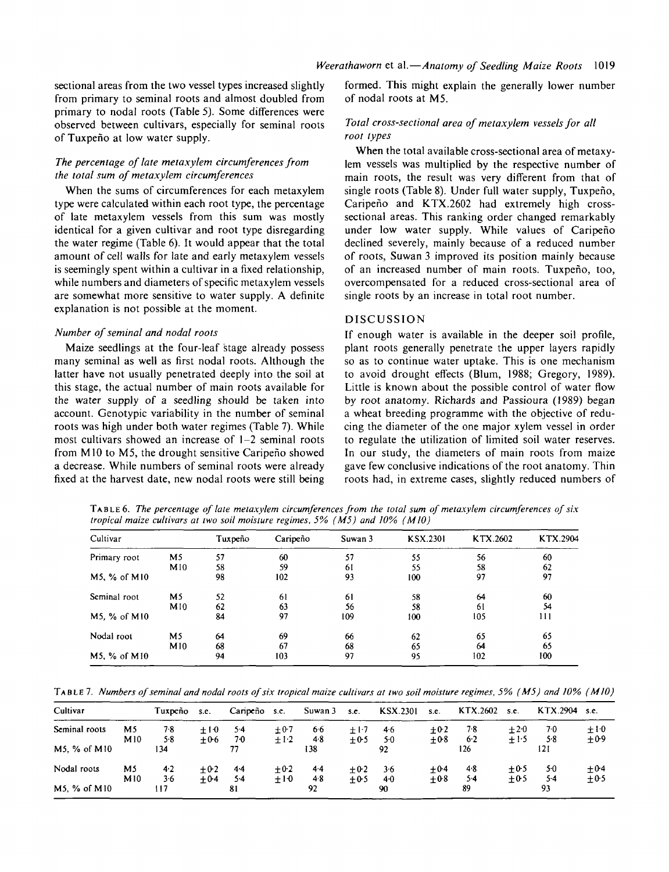#### *The percentage of late metaxylem circumferences from the total sum of metaxylem circumferences*

When the sums of circumferences for each metaxylem type were calculated within each root type, the percentage of late metaxylem vessels from this sum was mostly identical for a given cultivar and root type disregarding the water regime (Table 6). It would appear that the total amount of cell walls for late and early metaxylem vessels is seemingly spent within a cultivar in a fixed relationship, while numbers and diameters of specific metaxylem vessels are somewhat more sensitive to water supply. A definite explanation is not possible at the moment.

#### *Number of seminal and nodal roots*

Maize seedlings at the four-leaf stage already possess many seminal as well as first nodal roots. Although the latter have not usually penetrated deeply into the soil at this stage, the actual number of main roots available for the water supply of a seedling should be taken into account. Genotypic variability in the number of seminal roots was high under both water regimes (Table 7). While most cultivars showed an increase of  $1-2$  seminal roots from M10 to M5, the drought sensitive Caripefio showed a decrease. While numbers of seminal roots were already fixed at the harvest date, new nodal roots were still being formed. This might explain the generally lower number of nodal roots at M5.

#### *Total cross-sectional area of metaxylem vessels for all root types*

When the total available cross-sectional area of metaxylem vessels was multiplied by the respective number of main roots, the result was very different from that of single roots (Table 8). Under full water supply, Tuxpeño, Caripefio and KTX.2602 had extremely high crosssectional areas. This ranking order changed remarkably under low water supply. While values of Caripefio declined severely, mainly because of a reduced number of roots, Suwan 3 improved its position mainly because of an increased number of main roots. Tuxpeno, too, overcompensated for a reduced cross-sectional area of single roots by an increase in total root number.

#### DISCUSSION

If enough water is available in the deeper soil profile, plant roots generally penetrate the upper layers rapidly so as to continue water uptake. This is one mechanism to avoid drought effects (Blum, 1988; Gregory, 1989). Little is known about the possible control of water flow by root anatomy. Richards and Passioura (1989) began a wheat breeding programme with the objective of reducing the diameter of the one major xylem vessel in order to regulate the utilization of limited soil water reserves. In our study, the diameters of main roots from maize gave few conclusive indications of the root anatomy. Thin roots had, in extreme cases, slightly reduced numbers of

TABLE 6. *The percentage of late metaxylem circumferences from the total sum of metaxylem circumferences of six tropical maize cultivars at two soil moisture regimes, 5% ( M5) and 10% (MIO)*

| Cultivar     |                | Tuxpeño | Caripeño | Suwan 3 | <b>KSX.2301</b> | KTX.2602      | KTX.2904 |
|--------------|----------------|---------|----------|---------|-----------------|---------------|----------|
| Primary root | M <sub>5</sub> | 57      | 60       | 57      | 55              | 56            | 60       |
|              | M10            | 58      | 59       | 61      | 55              | 58            | 62       |
| M5, % of M10 |                | 98      | 102      | 93      | 100             | 97            | 97       |
| Seminal root | M5             | 52      | -61      | 61      | 58              | 64            | 60       |
|              | M10            | 62      | 63       | 56      | 58              | <sup>61</sup> | 54       |
| M5, % of M10 |                | 84      | 97       | 109     | 100             | 105           | 111      |
| Nodal root   | M5             | 64      | 69       | 66      | 62              | 65            | 65       |
|              | M10            | 68      | 67       | 68      | 65              | 64            | 65       |
| M5, % of M10 |                | 94      | 103      | 97      | 95              | 102           | 100      |

TABLE 7. *Numbers of seminal and nodal roots of six tropical maize cultivars at two soil moisture regimes, 5% (M5) and 10% (M10)*

| Cultivar      |     | Tuxpeño | s.e.   | Caripeño | s.e.   | Suwan 3 | S.C.   | <b>KSX.2301</b> | s.e.   | KTX.2602 | s.e.   | KTX.2904 | s.e.      |
|---------------|-----|---------|--------|----------|--------|---------|--------|-----------------|--------|----------|--------|----------|-----------|
| Seminal roots | M5  | 7.8     | $+10$  | 54       | $+0.7$ | 6.6     | $+1.7$ | 4.6             | $+0.2$ | 7.8      | $+2.0$ | 7.0      | $\pm 10$  |
|               | M10 | 5.8     | $+0.6$ | 70       | $+1.2$ | 4.8     | $+0.5$ | 5.0             | $+0.8$ | 6.2      | $+1.5$ | 5.8      | $+0.9$    |
| M5, % of M10  |     | 134     |        | 77       |        | 138     |        | 92              |        | 126      |        | 121      |           |
| Nodal roots   | M5  | 4.2     | $+0.2$ | 44       | $+0.2$ | $4-4$   | $+0.2$ | 3·6             | $+0.4$ | 4.8      | $+0.5$ | 50       | $\pm 0.4$ |
|               | M10 | $3 - 6$ | $+0.4$ | 54       | $+10$  | $4-8$   | $+0.5$ | 40              | $+0.8$ | $5-4$    | $+0.5$ | 5۰4      | $\pm 0.5$ |
| M5, % of M10  |     | 117     |        | 81       |        | 92      |        | 90              |        | 89       |        | 93       |           |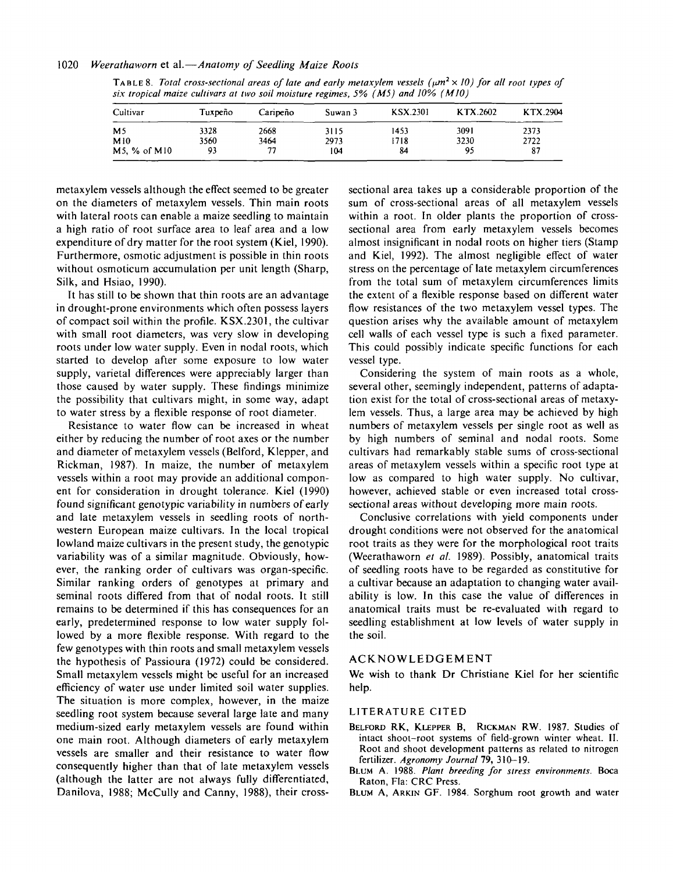#### 1020 *Weerathaworn* et al.—*Anatomy of Seedling Maize Roots*

TABLE 8. Total cross-sectional areas of late and early metaxylem vessels ( $\mu$ m<sup>2</sup>  $\times$  10) for all root types of *six tropical maize cultivars at two soil moisture regimes, 5% (M5) and 10% (M10)*

| Cultivar          | Tuxpeño | Caripeño | Suwan 3 | <b>KSX.2301</b> | KTX.2602 | KTX.2904 |
|-------------------|---------|----------|---------|-----------------|----------|----------|
| M <sub>5</sub>    | 3328    | 2668     | 3115    | 1453            | 3091     | 2373     |
| M10               | 3560    | 3464     | 2973    | 1718            | 3230     | 2722     |
| $M5, \%$ of $M10$ | 93      | 77       | 104     | 84              | 95       | 87       |

metaxylem vessels although the effect seemed to be greater on the diameters of metaxylem vessels. Thin main roots with lateral roots can enable a maize seedling to maintain a high ratio of root surface area to leaf area and a low expenditure of dry matter for the root system (Kiel, 1990). Furthermore, osmotic adjustment is possible in thin roots without osmoticum accumulation per unit length (Sharp, Silk, and Hsiao, 1990).

It has still to be shown that thin roots are an advantage in drought-prone environments which often possess layers of compact soil within the profile. KSX.2301, the cultivar with small root diameters, was very slow in developing roots under low water supply. Even in nodal roots, which started to develop after some exposure to low water supply, varietal differences were appreciably larger than those caused by water supply. These findings minimize the possibility that cultivars might, in some way, adapt to water stress by a flexible response of root diameter.

Resistance to water flow can be increased in wheat either by reducing the number of root axes or the number and diameter of metaxylem vessels (Belford, Klepper, and Rickman, 1987). In maize, the number of metaxylem vessels within a root may provide an additional component for consideration in drought tolerance. Kiel (1990) found significant genotypic variability in numbers of early and late metaxylem vessels in seedling roots of northwestern European maize cultivars. In the local tropical lowland maize cultivars in the present study, the genotypic variability was of a similar magnitude. Obviously, however, the ranking order of cultivars was organ-specific. Similar ranking orders of genotypes at primary and seminal roots differed from that of nodal roots. It still remains to be determined if this has consequences for an early, predetermined response to low water supply followed by a more flexible response. With regard to the few genotypes with thin roots and small metaxylem vessels the hypothesis of Passioura (1972) could be considered. Small metaxylem vessels might be useful for an increased efficiency of water use under limited soil water supplies. The situation is more complex, however, in the maize seedling root system because several large late and many medium-sized early metaxylem vessels are found within one main root. Although diameters of early metaxylem vessels are smaller and their resistance to water flow consequently higher than that of late metaxylem vessels (although the latter are not always fully differentiated, Danilova, 1988; McCully and Canny, 1988), their cross-

sectional area takes up a considerable proportion of the sum of cross-sectional areas of all metaxylem vessels within a root. In older plants the proportion of crosssectional area from early metaxylem vessels becomes almost insignificant in nodal roots on higher tiers (Stamp and Kiel, 1992). The almost negligible effect of water stress on the percentage of late metaxylem circumferences from the total sum of metaxylem circumferences limits the extent of a flexible response based on different water flow resistances of the two metaxylem vessel types. The question arises why the available amount of metaxylem cell walls of each vessel type is such a fixed parameter. This could possibly indicate specific functions for each vessel type.

Considering the system of main roots as a whole, several other, seemingly independent, patterns of adaptation exist for the total of cross-sectional areas of metaxylem vessels. Thus, a large area may be achieved by high numbers of metaxylem vessels per single root as well as by high numbers of seminal and nodal roots. Some cultivars had remarkably stable sums of cross-sectional areas of metaxylem vessels within a specific root type at low as compared to high water supply. No cultivar, however, achieved stable or even increased total crosssectional areas without developing more main roots.

Conclusive correlations with yield components under drought conditions were not observed for the anatomical root traits as they were for the morphological root traits (Weerathaworn *et al.* 1989). Possibly, anatomical traits of seedling roots have to be regarded as constitutive for a cultivar because an adaptation to changing water availability is low. In this case the value of differences in anatomical traits must be re-evaluated with regard to seedling establishment at low levels of water supply in the soil.

#### ACKNOWLEDGEMENT

We wish to thank Dr Christiane Kiel for her scientific help.

#### LITERATURE CITED

- BELFORD RK, KLEPPER B, RICKMAN RW. 1987. Studies of intact shoot-root systems of field-grown winter wheat. II. Root and shoot development patterns as related to nitrogen fertilizer. *Agronomy Journal* 79, 310-19.
- BLUM A. 1988. *Plant breeding for stress environments.* Boca Raton, Fla: CRC Press.
- BLUM A, ARKIN GF. 1984. Sorghum root growth and water